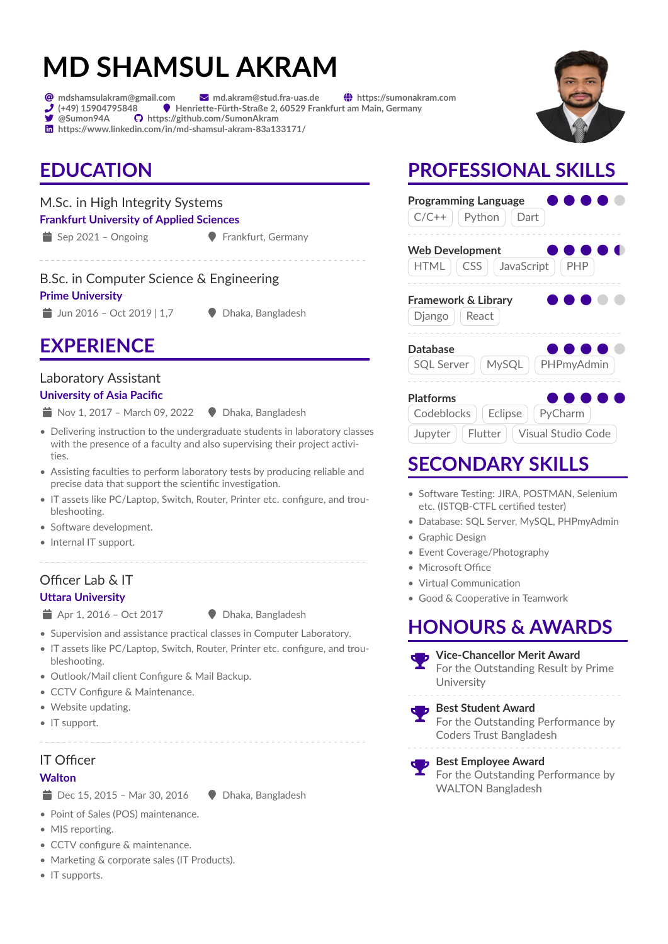# **MD SHAMSUL AKRAM**

 $\bigcirc$  mdshamsulakram@gmail.com  $\blacksquare$  md.akram@stud.fra-uas.de  $\bigcirc$  https://sumonakram.com

- $\overline{\mathcal{F}}$  (+49) 15904795848  $\overline{\phantom{0}}$  Henriette-Fürth-Straße 2, 60529 Frankfurt am Main, Germany<br> $\overline{\phantom{0}}$  @Sumon94A  $\overline{\phantom{0}}$  https://github.com/SumonAkram  $\sum_{\text{cosumon94A}}$
- in https://www.linkedin.com/in/md-shamsul-akram-83a133171/

# **EDUCATION**

### M.Sc. in High Integrity Systems

#### **Frankfurt University of Applied Sciences**

 $\bullet$  Sep 2021 – Ongoing  $\bullet$  Frankfurt, Germany

#### B.Sc. in Computer Science & Engineering

#### **Prime University**

 $\Box$  Jun 2016 – Oct 2019 | 1,7  $\Box$  Dhaka, Bangladesh

# **EXPERIENCE**

#### Laboratory Assistant

#### **University of Asia Pacific**

- $\triangleq$  Nov 1, 2017 March 09, 2022  $\triangleq$  Dhaka, Bangladesh
- Delivering instruction to the undergraduate students in laboratory classes with the presence of a faculty and also supervising their project activities.
- Assisting faculties to perform laboratory tests by producing reliable and precise data that support the scientific investigation.
- IT assets like PC/Laptop, Switch, Router, Printer etc. configure, and troubleshooting.
- Software development.
- Internal IT support.

#### Officer Lab & IT

#### **Uttara University**

- $\Rightarrow$  Apr 1, 2016 Oct 2017  $\Rightarrow$  Dhaka, Bangladesh
- 
- Supervision and assistance practical classes in Computer Laboratory.
- IT assets like PC/Laptop, Switch, Router, Printer etc. configure, and troubleshooting.
- Outlook/Mail client Configure & Mail Backup.
- CCTV Configure & Maintenance.
- Website updating.
- IT support.

## IT Officer

#### **Walton**

 $\Rightarrow$  Dec 15, 2015 – Mar 30, 2016  $\Rightarrow$  Dhaka, Bangladesh

• Point of Sales (POS) maintenance.

- MIS reporting.
- CCTV configure & maintenance.
- Marketing & corporate sales (IT Products).
- IT supports.

# **PROFESSIONAL SKILLS**



| <b>Platforms</b>               |  |  |                                        | . |  |
|--------------------------------|--|--|----------------------------------------|---|--|
| Codeblocks   Eclipse   PyCharm |  |  |                                        |   |  |
|                                |  |  | Jupyter   Flutter   Visual Studio Code |   |  |

# **SECONDARY SKILLS**

- Software Testing: JIRA, POSTMAN, Selenium etc. (ISTQB-CTFL certified tester)
- Database: SQL Server, MySQL, PHPmyAdmin
- Graphic Design
- Event Coverage/Photography
- Microsoft Office
- Virtual Communication
- Good & Cooperative in Teamwork

# **HONOURS & AWARDS**

 **Vice-Chancellor Merit Award** For the Outstanding Result by Prime **University** 

#### **Best Student Award** For the Outstanding Performance by Coders Trust Bangladesh

 **Best Employee Award** For the Outstanding Performance by WALTON Bangladesh